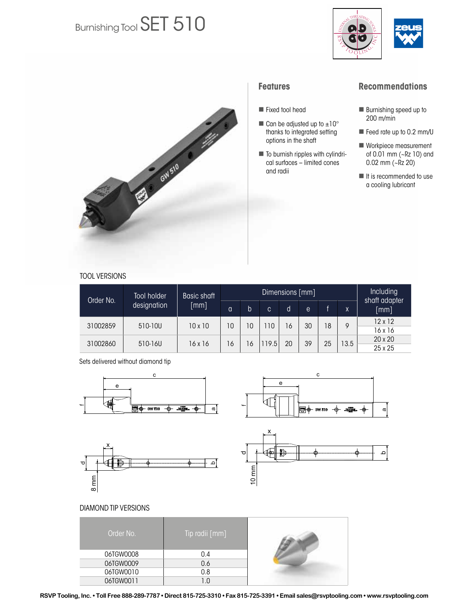# Burnishing Tool SET 510





### **Features**

- Fixed tool head
- $\blacksquare$  Can be adjusted up to  $\pm 10^\circ$ thanks to integrated setting options in the shaft
- $\blacksquare$  To burnish ripples with cylindrical surfaces – limited cones and radii

## **Recommendations**

- Burnishing speed up to 200 m/min
- Feed rate up to 0.2 mm/U
- Workpiece measurement of 0.01 mm (~Rz 10) and 0.02 mm (~Rz 20)
- It is recommended to use a cooling lubricant

#### TOOL VERSIONS

| Order No. | Tool holder<br>designation | Basic shaft<br>$\lceil mm \rceil$ |    |    | Including<br>shaft adapter |                |    |    |      |                |
|-----------|----------------------------|-----------------------------------|----|----|----------------------------|----------------|----|----|------|----------------|
|           |                            |                                   | a  | b  | C.                         | d              | e  | ď. | X    | [mm]           |
| 31002859  | 510-10U                    | $10 \times 10$                    | 10 | 10 | 10                         | $\overline{6}$ | 30 | 18 | 9    | $12 \times 12$ |
|           |                            |                                   |    |    |                            |                |    |    |      | 16 x 16        |
| 31002860  | 510-16U                    | 16 x 16                           | 16 | 16 | 119.5                      | 20             | 39 | 25 | 13.5 | 20 x 20        |
|           |                            |                                   |    |    |                            |                |    |    |      | 25 x 25        |

Sets delivered without diamond tip











#### DIAMOND TIP VERSIONS

| Order No. | Tip radii [mm] |  |
|-----------|----------------|--|
| 06TGW0008 | 0.4            |  |
| 06TGW0009 | 0.6            |  |
| 06TGW0010 | 0.8            |  |
| 06TGW0011 | 1.0            |  |

RSVP Tooling, Inc. • Toll Free 888-289-7787 • Direct 815-725-3310 • Fax 815-725-3391 • Email sales@rsvptooling.com • www.rsvptooling.com